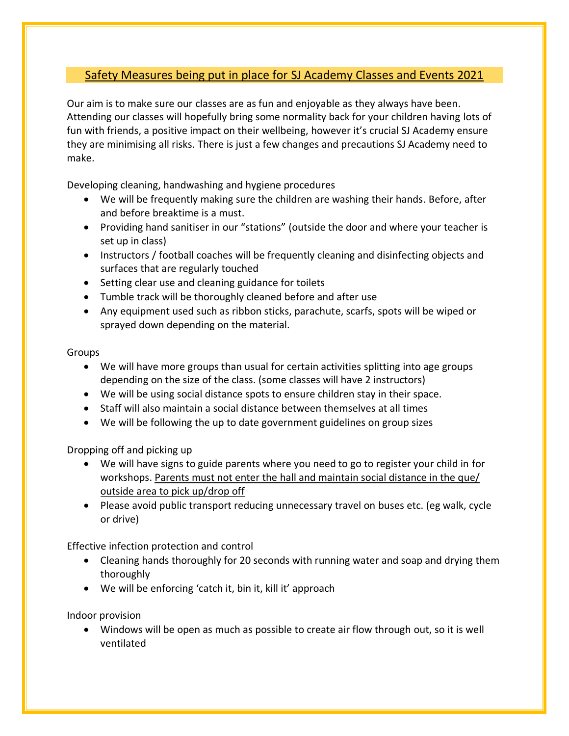## Safety Measures being put in place for SJ Academy Classes and Events 2021

Our aim is to make sure our classes are as fun and enjoyable as they always have been. Attending our classes will hopefully bring some normality back for your children having lots of fun with friends, a positive impact on their wellbeing, however it's crucial SJ Academy ensure they are minimising all risks. There is just a few changes and precautions SJ Academy need to make.

Developing cleaning, handwashing and hygiene procedures

- We will be frequently making sure the children are washing their hands. Before, after and before breaktime is a must.
- Providing hand sanitiser in our "stations" (outside the door and where your teacher is set up in class)
- Instructors / football coaches will be frequently cleaning and disinfecting objects and surfaces that are regularly touched
- Setting clear use and cleaning guidance for toilets
- Tumble track will be thoroughly cleaned before and after use
- Any equipment used such as ribbon sticks, parachute, scarfs, spots will be wiped or sprayed down depending on the material.

## Groups

- We will have more groups than usual for certain activities splitting into age groups depending on the size of the class. (some classes will have 2 instructors)
- We will be using social distance spots to ensure children stay in their space.
- Staff will also maintain a social distance between themselves at all times
- We will be following the up to date government guidelines on group sizes

Dropping off and picking up

- We will have signs to guide parents where you need to go to register your child in for workshops. Parents must not enter the hall and maintain social distance in the que/ outside area to pick up/drop off
- Please avoid public transport reducing unnecessary travel on buses etc. (eg walk, cycle or drive)

Effective infection protection and control

- Cleaning hands thoroughly for 20 seconds with running water and soap and drying them thoroughly
- We will be enforcing 'catch it, bin it, kill it' approach

Indoor provision

• Windows will be open as much as possible to create air flow through out, so it is well ventilated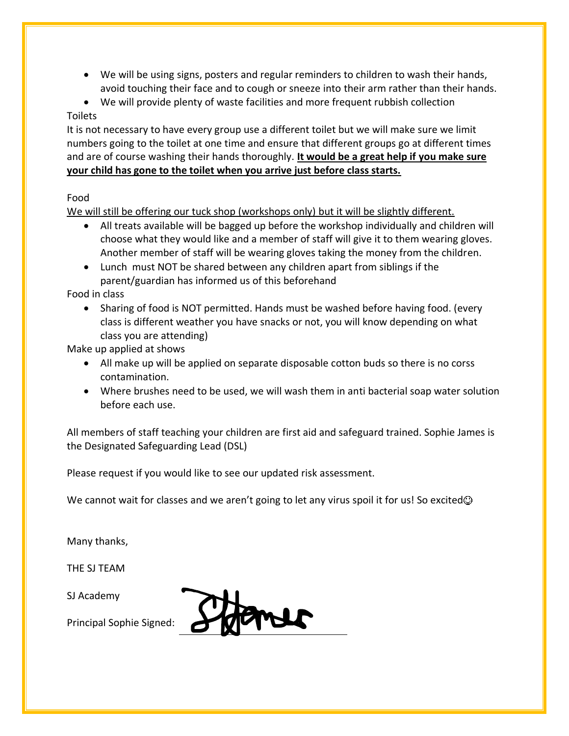- We will be using signs, posters and regular reminders to children to wash their hands, avoid touching their face and to cough or sneeze into their arm rather than their hands.
- We will provide plenty of waste facilities and more frequent rubbish collection Toilets

It is not necessary to have every group use a different toilet but we will make sure we limit numbers going to the toilet at one time and ensure that different groups go at different times and are of course washing their hands thoroughly. **It would be a great help if you make sure your child has gone to the toilet when you arrive just before class starts.**

## Food

We will still be offering our tuck shop (workshops only) but it will be slightly different.

- All treats available will be bagged up before the workshop individually and children will choose what they would like and a member of staff will give it to them wearing gloves. Another member of staff will be wearing gloves taking the money from the children.
- Lunch must NOT be shared between any children apart from siblings if the parent/guardian has informed us of this beforehand

Food in class

• Sharing of food is NOT permitted. Hands must be washed before having food. (every class is different weather you have snacks or not, you will know depending on what class you are attending)

Make up applied at shows

- All make up will be applied on separate disposable cotton buds so there is no corss contamination.
- Where brushes need to be used, we will wash them in anti bacterial soap water solution before each use.

All members of staff teaching your children are first aid and safeguard trained. Sophie James is the Designated Safeguarding Lead (DSL)

Please request if you would like to see our updated risk assessment.

We cannot wait for classes and we aren't going to let any virus spoil it for us! So excited $\odot$ 

Many thanks,

THE SJ TEAM

SJ Academy

Principal Sophie Signed: